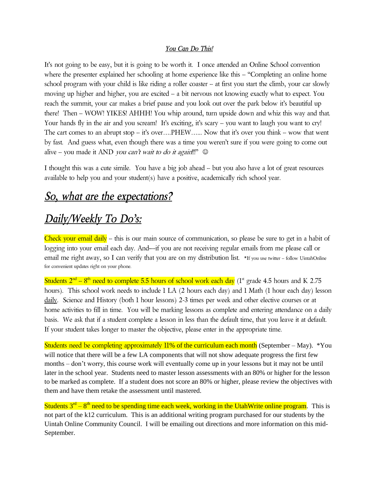#### *You Can Do This!*

It's not going to be easy, but it is going to be worth it. I once attended an Online School convention where the presenter explained her schooling at home experience like this – "Completing an online home school program with your child is like riding a roller coaster – at first you start the climb, your car slowly moving up higher and higher, you are excited – a bit nervous not knowing exactly what to expect. You reach the summit, your car makes a brief pause and you look out over the park below it's beautiful up there! Then – WOW! YIKES! AHHH! You whip around, turn upside down and whiz this way and that. Your hands fly in the air and you scream! It's exciting, it's scary – you want to laugh you want to cry! The cart comes to an abrupt stop – it's over….PHEW…... Now that it's over you think – wow that went by fast. And guess what, even though there was a time you weren't sure if you were going to come out alive – you made it AND you can't wait to do it again!!!"  $\odot$ 

I thought this was a cute simile. You have a big job ahead – but you also have a lot of great resources available to help you and your student(s) have a positive, academically rich school year.

## *So, what are the expectations?*

# *Daily/Weekly To Do's:*

Check your email daily – this is our main source of communication, so please be sure to get in a habit of logging into your email each day. And—if you are not receiving regular emails from me please call or email me right away, so I can verify that you are on my distribution list. \*If you use twitter - follow UintahOnline for convenient updates right on your phone.

Students  $2<sup>nd</sup> - 8<sup>th</sup>$  need to complete 5.5 hours of school work each day (1<sup>st</sup> grade 4.5 hours and K 2.75 hours). This school work needs to include 1 LA (2 hours each day) and 1 Math (1 hour each day) lesson daily. Science and History (both 1 hour lessons) 2-3 times per week and other elective courses or at home activities to fill in time. You will be marking lessons as complete and entering attendance on a daily basis. We ask that if a student complete a lesson in less than the default time, that you leave it at default. If your student takes longer to master the objective, please enter in the appropriate time.

Students need be completing approximately 11% of the curriculum each month (September – May). \*You will notice that there will be a few LA components that will not show adequate progress the first few months – don't worry, this course work will eventually come up in your lessons but it may not be until later in the school year. Students need to master lesson assessments with an 80% or higher for the lesson to be marked as complete. If a student does not score an 80% or higher, please review the objectives with them and have them retake the assessment until mastered.

Students  $3<sup>rd</sup> - 8<sup>th</sup>$  need to be spending time each week, working in the UtahWrite online program. This is not part of the k12 curriculum. This is an additional writing program purchased for our students by the Uintah Online Community Council. I will be emailing out directions and more information on this mid-September.